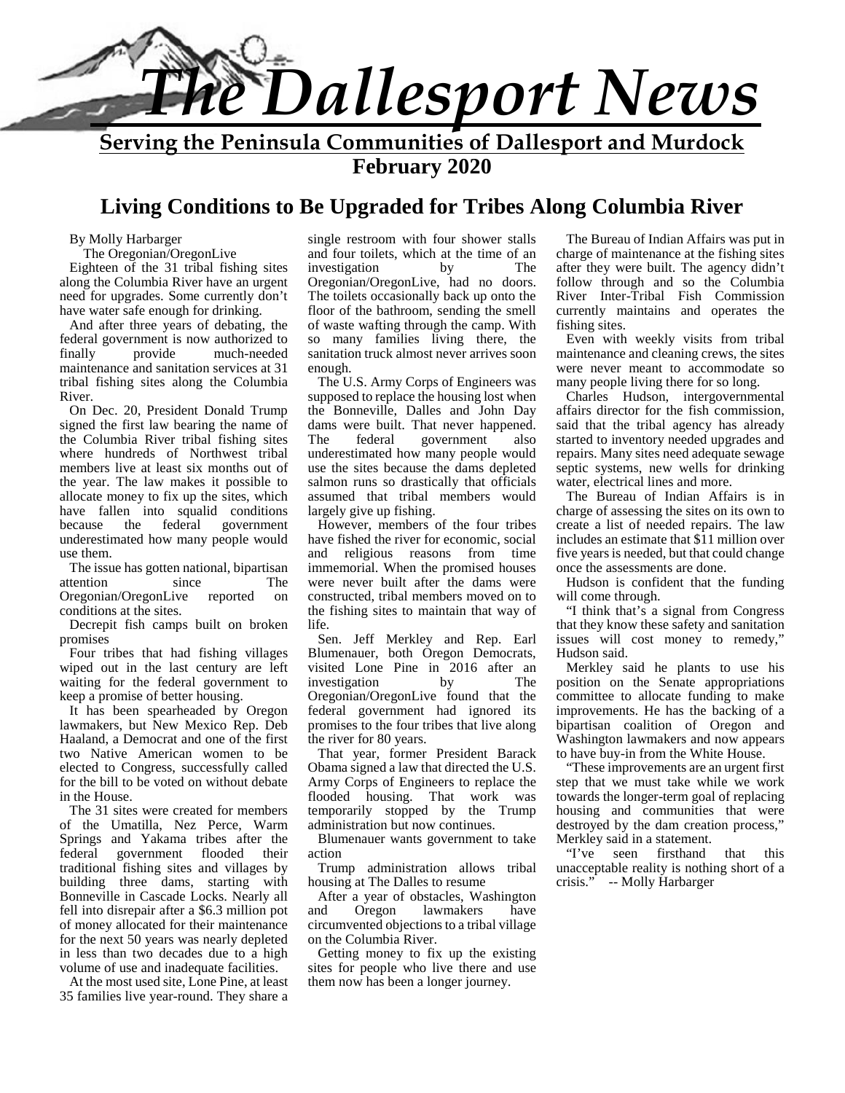

**February 2020**

## **Living Conditions to Be Upgraded for Tribes Along Columbia River**

By Molly Harbarger

The Oregonian/OregonLive Eighteen of the 31 tribal fishing sites along the Columbia River have an urgent need for upgrades. Some currently don't have water safe enough for drinking.

And after three years of debating, the federal government is now authorized to<br>finally provide much-needed finally provide much-needed maintenance and sanitation services at 31 tribal fishing sites along the Columbia River.

On Dec. 20, President Donald Trump signed the first law bearing the name of the Columbia River tribal fishing sites where hundreds of Northwest tribal members live at least six months out of the year. The law makes it possible to allocate money to fix up the sites, which have fallen into squalid conditions because the federal government underestimated how many people would use them.

The issue has gotten national, bipartisan attention since The Oregonian/OregonLive reported on conditions at the sites.

Decrepit fish camps built on broken promises

Four tribes that had fishing villages wiped out in the last century are left waiting for the federal government to keep a promise of better housing.

It has been spearheaded by Oregon lawmakers, but New Mexico Rep. Deb Haaland, a Democrat and one of the first two Native American women to be elected to Congress, successfully called for the bill to be voted on without debate in the House.

The 31 sites were created for members of the Umatilla, Nez Perce, Warm Springs and Yakama tribes after the federal government flooded their traditional fishing sites and villages by building three dams, starting with Bonneville in Cascade Locks. Nearly all <br>fell into disrepair after a \$6.3 million pot and fell into disrepair after a \$6.3 million pot of money allocated for their maintenance for the next 50 years was nearly depleted in less than two decades due to a high volume of use and inadequate facilities.

At the most used site, Lone Pine, at least 35 families live year-round. They share a single restroom with four shower stalls and four toilets, which at the time of an investigation by The investigation by Oregonian/OregonLive, had no doors. The toilets occasionally back up onto the floor of the bathroom, sending the smell of waste wafting through the camp. With so many families living there, the sanitation truck almost never arrives soon enough.

The U.S. Army Corps of Engineers was supposed to replace the housing lost when the Bonneville, Dalles and John Day dams were built. That never happened. federal government also underestimated how many people would use the sites because the dams depleted salmon runs so drastically that officials assumed that tribal members would largely give up fishing.

However, members of the four tribes have fished the river for economic, social and religious reasons from time immemorial. When the promised houses were never built after the dams were constructed, tribal members moved on to the fishing sites to maintain that way of life.

Sen. Jeff Merkley and Rep. Earl Blumenauer, both Oregon Democrats, visited Lone Pine in 2016 after an investigation by The investigation Oregonian/OregonLive found that the federal government had ignored its promises to the four tribes that live along the river for 80 years.

That year, former President Barack Obama signed a law that directed the U.S. Army Corps of Engineers to replace the flooded housing. That work was temporarily stopped by the Trump administration but now continues.

Blumenauer wants government to take Merkley<br>tion "Tye" action

Trump administration allows tribal unacce<br>
political crisis."<br>
Solution crisis." housing at The Dalles to resume

After a year of obstacles, Washington<br>nd Oregon lawmakers have lawmakers circumvented objections to a tribal village on the Columbia River.

Getting money to fix up the existing sites for people who live there and use them now has been a longer journey.

The Bureau of Indian Affairs was put in charge of maintenance at the fishing sites after they were built. The agency didn't follow through and so the Columbia River Inter-Tribal Fish Commission currently maintains and operates the fishing sites.

Even with weekly visits from tribal maintenance and cleaning crews, the sites were never meant to accommodate so many people living there for so long.

Charles Hudson, intergovernmental affairs director for the fish commission, said that the tribal agency has already started to inventory needed upgrades and repairs. Many sites need adequate sewage septic systems, new wells for drinking water, electrical lines and more.

The Bureau of Indian Affairs is in charge of assessing the sites on its own to create a list of needed repairs. The law includes an estimate that \$11 million over five years is needed, but that could change once the assessments are done.

Hudson is confident that the funding will come through.

"I think that's a signal from Congress that they know these safety and sanitation issues will cost money to remedy," Hudson said.

Merkley said he plants to use his position on the Senate appropriations committee to allocate funding to make improvements. He has the backing of a bipartisan coalition of Oregon and Washington lawmakers and now appears to have buy-in from the White House.

"These improvements are an urgent first step that we must take while we work towards the longer-term goal of replacing housing and communities that were destroyed by the dam creation process," Merkley said in a statement.<br>"I've seen firsthand"

firsthand that this unacceptable reality is nothing short of a -- Molly Harbarger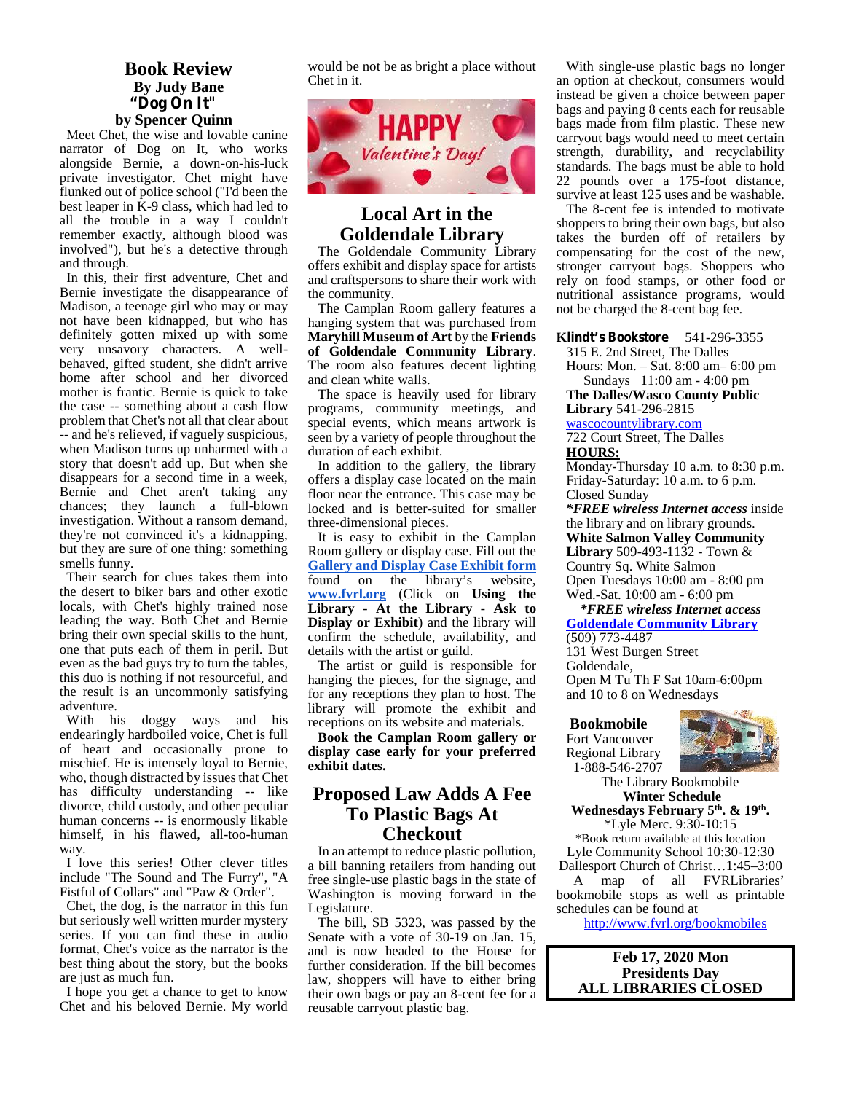#### **Book Review By Judy Bane "Dog On It" by Spencer Quinn**

Meet Chet, the wise and lovable canine narrator of Dog on It, who works alongside Bernie, a down-on-his-luck private investigator. Chet might have flunked out of police school ("I'd been the best leaper in K-9 class, which had led to all the trouble in a way I couldn't remember exactly, although blood was involved"), but he's a detective through and through.

In this, their first adventure, Chet and Bernie investigate the disappearance of Madison, a teenage girl who may or may not have been kidnapped, but who has definitely gotten mixed up with some very unsavory characters. A well behaved, gifted student, she didn't arrive home after school and her divorced mother is frantic. Bernie is quick to take the case -- something about a cash flow problem that Chet's not all that clear about -- and he's relieved, if vaguely suspicious, when Madison turns up unharmed with a story that doesn't add up. But when she disappears for a second time in a week, Bernie and Chet aren't taking any chances; they launch a full-blown investigation. Without a ransom demand, they're not convinced it's a kidnapping, but they are sure of one thing: something smells funny.

Their search for clues takes them into the desert to biker bars and other exotic locals, with Chet's highly trained nose leading the way. Both Chet and Bernie bring their own special skills to the hunt, one that puts each of them in peril. But even as the bad guys try to turn the tables, this duo is nothing if not resourceful, and the result is an uncommonly satisfying adventure.

With his doggy ways and his endearingly hardboiled voice, Chet is full of heart and occasionally prone to mischief. He is intensely loyal to Bernie, who, though distracted by issues that Chet has difficulty understanding -- like divorce, child custody, and other peculiar human concerns -- is enormously likable himself, in his flawed, all-too-human way.

I love this series! Other clever titles include "The Sound and The Furry", "A Fistful of Collars" and "Paw & Order".

Chet, the dog, is the narrator in this fun but seriously well written murder mystery series. If you can find these in audio format, Chet's voice as the narrator is the best thing about the story, but the books are just as much fun.

I hope you get a chance to get to know Chet and his beloved Bernie. My world would be not be as bright a place without Chet in it.



### **Local Art in the Goldendale Library**

The Goldendale Community Library offers exhibit and display space for artists and craftspersons to share their work with the community.

The Camplan Room gallery features a hanging system that was purchased from **Maryhill Museum of Art** by the **Friends of Goldendale Community Library**. The room also features decent lighting and clean white walls.

The space is heavily used for library programs, community meetings, and special events, which means artwork is seen by a variety of people throughout the duration of each exhibit.

In addition to the gallery, the library offers a display case located on the main floor near the entrance. This case may be locked and is better-suited for smaller three-dimensional pieces.

It is easy to exhibit in the Camplan Room gallery or display case. Fill out the **Gallery and Display Case Exhibit form** found on the library's website, **www.fvrl.org** (Click on **Using the Library** - **At the Library** - **Ask to Display or Exhibit**) and the library will confirm the schedule, availability, and details with the artist or guild.

The artist or guild is responsible for hanging the pieces, for the signage, and for any receptions they plan to host. The library will promote the exhibit and receptions on its website and materials.

**Book the Camplan Room gallery or display case early for your preferred exhibit dates.**

### **Proposed Law Adds A Fee To Plastic Bags At Checkout**

In an attempt to reduce plastic pollution, a bill banning retailers from handing out free single-use plastic bags in the state of Washington is moving forward in the Legislature.

The bill, SB 5323, was passed by the Senate with a vote of 30-19 on Jan. 15, and is now headed to the House for further consideration. If the bill becomes law, shoppers will have to either bring their own bags or pay an 8-cent fee for a reusable carryout plastic bag.

With single-use plastic bags no longer an option at checkout, consumers would instead be given a choice between paper bags and paying 8 cents each for reusable bags made from film plastic. These new carryout bags would need to meet certain strength, durability, and recyclability standards. The bags must be able to hold 22 pounds over a 175-foot distance, survive at least 125 uses and be washable.

The 8-cent fee is intended to motivate shoppers to bring their own bags, but also takes the burden off of retailers by compensating for the cost of the new, stronger carryout bags. Shoppers who rely on food stamps, or other food or nutritional assistance programs, would not be charged the 8-cent bag fee.

**Klindt's Bookstore** 541-296-3355

315 E. 2nd Street, The Dalles Hours: Mon. – Sat.8:00 am– 6:00 pm

Sundays 11:00 am - 4:00 pm **The Dalles/Wasco County Public**

**Library** 541-296-2815

wascocountylibrary.com

722 Court Street, The Dalles **HOURS:**

Monday-Thursday 10 a.m. to 8:30 p.m. Friday-Saturday: 10 a.m. to 6 p.m. Closed Sunday

*\*FREE wireless Internet access* inside the library and on library grounds. **White Salmon Valley Community Library** 509-493-1132 - Town & Country Sq. White Salmon Open Tuesdays 10:00 am - 8:00 pm Wed.-Sat. 10:00 am - 6:00 pm

*\*FREE wireless Internet access* **Goldendale Community Library** (509) 773-4487

131 West Burgen Street Goldendale, Open M Tu Th F Sat 10am-6:00pm and 10 to 8 on Wednesdays

**Bookmobile** Fort Vancouver Regional Library

1-888-546-2707



The Library Bookmobile **Winter Schedule Wednesdays February 5th. & 19th .**

\*Lyle Merc. 9:30-10:15 \*Book return available at this location Lyle Community School 10:30-12:30

Dallesport Church of Christ…1:45–3:00 A map of all FVRLibraries' bookmobile stops as well as printable schedules can be found at

http://www.fvrl.org/bookmobiles

**Feb 17, 2020 Mon Presidents Day ALL LIBRARIES CLOSED**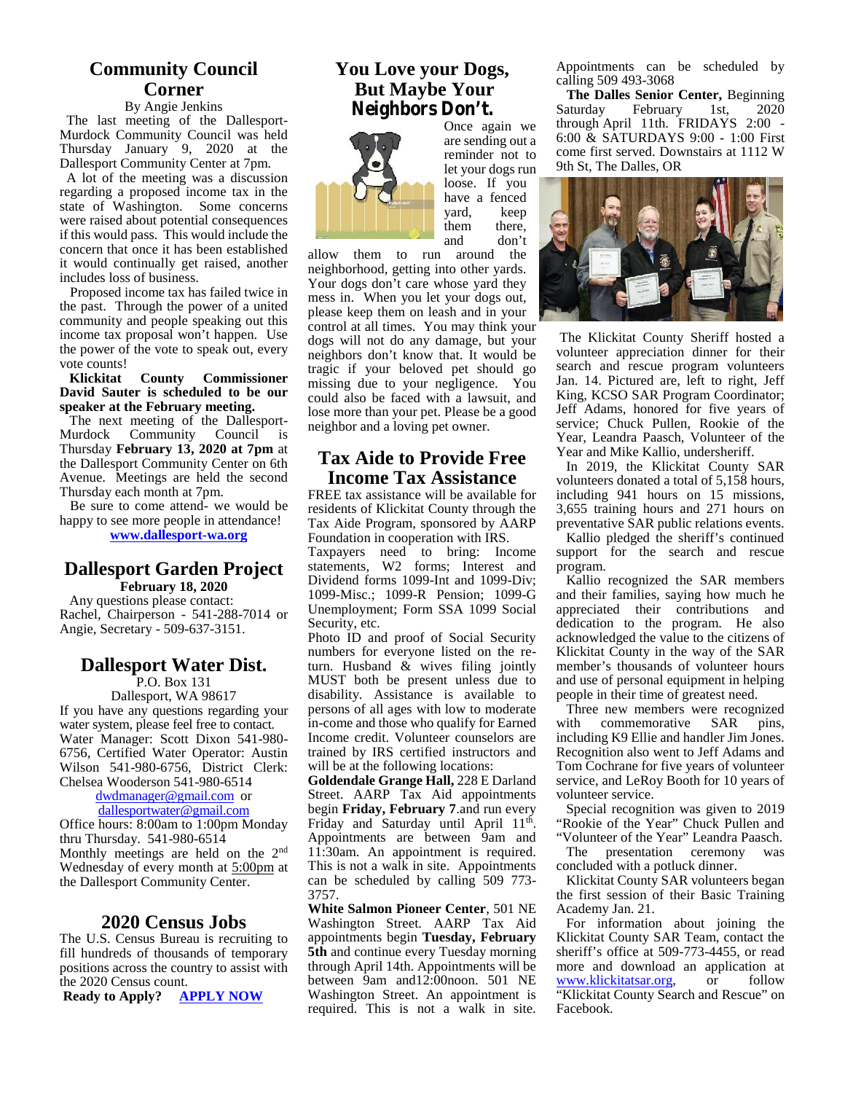### **Community Council Corner**

#### By Angie Jenkins

The last meeting of the Dallesport- Murdock Community Council was held Thursday January 9, 2020 at the Dallesport Community Center at 7pm.

A lot of the meeting was a discussion regarding a proposed income tax in the state of Washington. Some concerns were raised about potential consequences if this would pass. This would include the concern that once it has been established it would continually get raised, another includes loss of business.

Proposed income tax has failed twice in the past. Through the power of a united community and people speaking out this income tax proposal won't happen. Use the power of the vote to speak out, every vote counts!

**Klickitat County Commissioner David Sauter is scheduled to be our speaker at the February meeting.**

The next meeting of the Dallesport- Murdock Community Council is Thursday **February 13, 2020 at 7pm** at the Dallesport Community Center on 6th Avenue. Meetings are held the second Thursday each month at 7pm.

Be sure to come attend- we would be happy to see more people in attendance! **www.dallesport-wa.org**

#### **Dallesport Garden Project February 18, 2020**

Any questions please contact: Rachel, Chairperson - 541-288-7014 or Angie, Secretary - 509-637-3151.

### **Dallesport Water Dist.**

P.O. Box 131

Dallesport, WA 98617 If you have any questions regarding your water system, please feel free to contact. Water Manager: Scott Dixon 541-980- 6756, Certified Water Operator: Austin Wilson 541-980-6756, District Clerk: Chelsea Wooderson 541-980-6514

dwdmanager@gmail.com or dallesportwater@gmail.com Office hours: 8:00am to 1:00pm Monday thru Thursday. 541-980-6514

Monthly meetings are held on the 2<sup>nd</sup> Wednesday of every month at 5:00pm at the Dallesport Community Center.

#### **2020 Census Jobs**

The U.S. Census Bureau is recruiting to fill hundreds of thousands of temporary positions across the country to assist with the 2020 Census count.<br> **Ready to Apply?** APPLY NOW

**Ready to Apply?** 

#### **You Love your Dogs, But Maybe Your Neighbors Don't.**



are sending out a reminder not to let your dogs run loose. If you have a fenced<br>vard. keep yard, keep there. and don't

them to run around the neighborhood, getting into other yards. Your dogs don't care whose yard they mess in. When you let your dogs out, please keep them on leash and in your control at all times. You may think your dogs will not do any damage, but your neighbors don't know that. It would be tragic if your beloved pet should go missing due to your negligence. You could also be faced with a lawsuit, and lose more than your pet. Please be a good neighbor and a loving pet owner.

#### **Tax Aide to Provide Free Income Tax Assistance**

FREE tax assistance will be available for residents of Klickitat County through the Tax Aide Program, sponsored by AARP Foundation in cooperation with IRS.

Taxpayers need to bring: Income statements, W2 forms; Interest and progr Dividend forms 1099-Int and 1099-Div; 1099-Misc.; 1099-R Pension; 1099-G Unemployment; Form SSA 1099 Social Security, etc.

Photo ID and proof of Social Security numbers for everyone listed on the return. Husband & wives filing jointly MUST both be present unless due to disability. Assistance is available to persons of all ages with low to moderate in-come and those who qualify for Earned Income credit. Volunteer counselors are trained by IRS certified instructors and will be at the following locations:

**Goldendale Grange Hall,** 228 E Darland Street. AARP Tax Aid appointments begin **Friday, February 7**.and run every Friday and Saturday until April 11<sup>th</sup>. Appointments are between 9am and 11:30am. An appointment is required. This is not a walk in site. Appointments can be scheduled by calling 509 773- 3757.

**White Salmon Pioneer Center**, 501 NE Washington Street. AARP Tax Aid appointments begin **Tuesday, February 5th** and continue every Tuesday morning through April 14th. Appointments will be between 9am and12:00noon. 501 NE Washington Street. An appointment is required. This is not a walk in site.

Appointments can be scheduled by calling 509 493-3068

**The Dalles Senior Center,** Beginning Saturday February 1st, 2020 through April 11th. FRIDAYS 2:00 - 6:00 & SATURDAYS 9:00 - 1:00 First come first served. Downstairs at 1112 W 9th St, The Dalles, OR



The Klickitat County Sheriff hosted a volunteer appreciation dinner for their search and rescue program volunteers Jan. 14. Pictured are, left to right, Jeff King, KCSO SAR Program Coordinator; Jeff Adams, honored for five years of service; Chuck Pullen, Rookie of the Year, Leandra Paasch, Volunteer of the Year and Mike Kallio, undersheriff.

In 2019, the Klickitat County SAR volunteers donated a total of 5,158 hours, including 941 hours on 15 missions, 3,655 training hours and 271 hours on preventative SAR public relations events.

Kallio pledged the sheriff's continued support for the search and rescue program.

Kallio recognized the SAR members and their families, saying how much he appreciated their contributions and dedication to the program. He also acknowledged the value to the citizens of Klickitat County in the way of the SAR member's thousands of volunteer hours and use of personal equipment in helping people in their time of greatest need.

Three new members were recognized commemorative SAR pins, including K9 Ellie and handler Jim Jones. Recognition also went to Jeff Adams and Tom Cochrane for five years of volunteer service, and LeRoy Booth for 10 years of volunteer service.

. "Rookie of the Year" Chuck Pullen and Special recognition was given to 2019

"Volunteer of the Year" Leandra Paasch. The presentation ceremony was concluded with a potluck dinner.

Klickitat County SAR volunteers began the first session of their Basic Training Academy Jan. 21.

For information about joining the Klickitat County SAR Team, contact the sheriff's office at 509-773-4455, or read more and download an application at www.klickitatsar.org, or follow "Klickitat County Search and Rescue" on Facebook.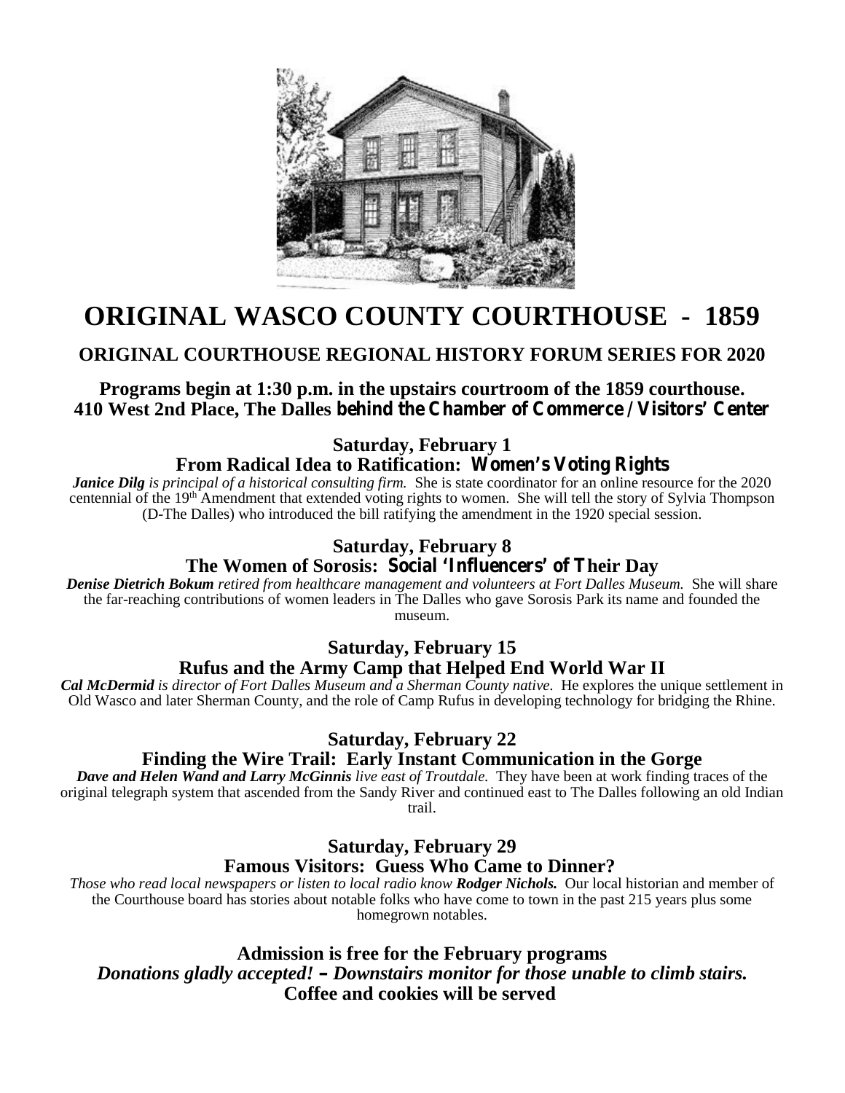

## **ORIGINAL WASCO COUNTY COURTHOUSE - 1859**

## **ORIGINAL COURTHOUSE REGIONAL HISTORY FORUM SERIES FOR 2020**

**Programs begin at 1:30 p.m. in the upstairs courtroom of the 1859 courthouse. 410 West 2nd Place, The Dalles behind the Chamber of Commerce / Visitors' Center**

**Saturday, February 1**

**From Radical Idea to Ratification: Women's Voting Rights**

*Janice Dilg is principal of a historical consulting firm.* She is state coordinator for an online resource for the 2020 centennial of the 19<sup>th</sup> Amendment that extended voting rights to women. She will tell the story of Sylvia Thompson (D-The Dalles) who introduced the bill ratifying the amendment in the 1920 special session.

## **Saturday, February 8**

## **The Women of Sorosis: Social 'Influencers' of Their Day**

*Denise Dietrich Bokum retired from healthcare management and volunteers at Fort Dalles Museum.* She will share the far-reaching contributions of women leaders in The Dalles who gave Sorosis Park its name and founded the museum.

## **Saturday, February 15 Rufus and the Army Camp that Helped End World War II**

*Cal McDermid is director of Fort Dalles Museum and a Sherman County native.* He explores the unique settlement in Old Wasco and later Sherman County, and the role of Camp Rufus in developing technology for bridging the Rhine.

## **Saturday, February 22**

## **Finding the Wire Trail: Early Instant Communication in the Gorge**

*Dave and Helen Wand and Larry McGinnis live east of Troutdale.* They have been at work finding traces of the original telegraph system that ascended from the Sandy River and continued east to The Dalles following an old Indian trail.

## **Saturday, February 29 Famous Visitors: Guess Who Came to Dinner?**

*Those who read local newspapers or listen to local radio know Rodger Nichols.* Our local historian and member of the Courthouse board has stories about notable folks who have come to town in the past 215 years plus some homegrown notables.

**Admission is free for the February programs** *Donations gladly accepted! – Downstairs monitor for those unable to climb stairs.* **Coffee and cookies will be served**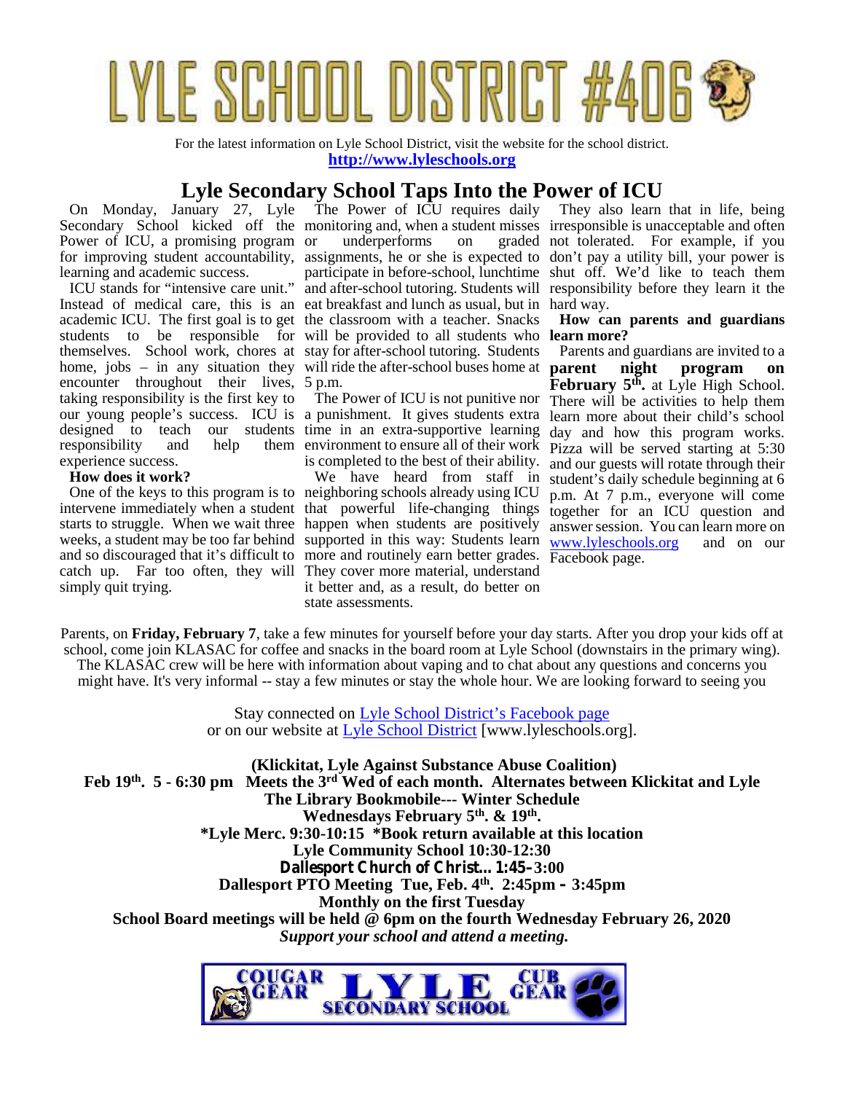

For the latest information on Lyle School District, visit the website for the school district. **http://www.lyleschools.org**

## **Lyle Secondary School Taps Into the Power of ICU**

On Monday, January 27, Lyle Power of ICU, a promising program or underperforms learning and academic success.

Instead of medical care, this is an eat breakfast and lunch as usual, but in hard way. academic ICU. The first goal is to get the classroom with a teacher. Snacks Hov students to be responsible for will be provided to all students who **learn more?** themselves. School work, chores at stay for after-school tutoring. Students home, jobs – in any situation they will ride the after-school buses home at **par** encounter throughout their lives, 5 p.m. taking responsibility is the first key to our young people's success. ICU is a punishment. It gives students extra learn i responsibility and help them environment to ensure all of their work  $\frac{1}{2}$  responsibility experience success.

#### **How does it work?**

intervene immediately when a student that powerful life-changing things toget starts to struggle. When we wait three happen when students are positively answer weeks, a student may be too far behind supported in this way: Students learn www.ly and so discouraged that it's difficult to more and routinely earn better grades.  $\overline{F_{\text{4d}}}$ catch up. Far too often, they will They cover more material, understand simply quit trying.

The Power of ICU requires daily

is completed to the best of their ability.

One of the keys to this program is to neighboring schools already using ICU  $_{\text{D.m. At 7}}$ We have heard from staff in it better and, as a result, do better on state assessments.

Secondary School kicked off the monitoring and, when a student misses irresponsible is unacceptable and often for improving student accountability, assignments, he or she is expected to don't pay a utility bill, your power is ICU stands for "intensive care unit." and after-school tutoring. Students will responsibility before they learn it the or underperforms on graded not tolerated. For example, if you participate in before-school, lunchtime shut off. We'd like to teach them They also learn that in life, being

**How can parents and guardians**

designed to teach our students time in an extra-supportive learning day and how this program works. The Power of ICU is not punitive nor There will be activities to help them Parents and guardians are invited to a **parameters program** on **February 5th .** at Lyle High School. learn more about their child's school Pizza will be served starting at 5:30 and our guests will rotate through their student's daily schedule beginning at 6 p.m. At 7 p.m., everyone will come together for an ICU question and answer session. You can learn more on www.lyleschools.org and on our Facebook page.

Parents, on **Friday, February 7**, take a few minutes for yourself before your day starts. After you drop your kids off at school, come join KLASAC for coffee and snacks in the board room at Lyle School (downstairs in the primary wing). The KLASAC crew will be here with information about vaping and to chat about any questions and concerns you might have. It's very informal -- stay a few minutes or stay the whole hour. We are looking forward to seeing you

> Stay connected on Lyle School District's Facebook page or on our website at Lyle School District [www.lyleschools.org].

**(Klickitat, Lyle Against Substance Abuse Coalition) Feb 19th. 5 - 6:30 pm Meets the 3rd Wed of each month. Alternates between Klickitat and Lyle The Library Bookmobile--- Winter Schedule Wednesdays February 5th. & 19th . \*Lyle Merc. 9:30-10:15 \*Book return available at this location Lyle Community School 10:30-12:30 Dallesport Church of Christ…1:45–3:00 Dallesport PTO Meeting Tue, Feb. 4th. 2:45pm – 3:45pm Monthly on the first Tuesday School Board meetings will be held @ 6pm on the fourth Wednesday February 26, 2020** *Support your school and attend a meeting.*

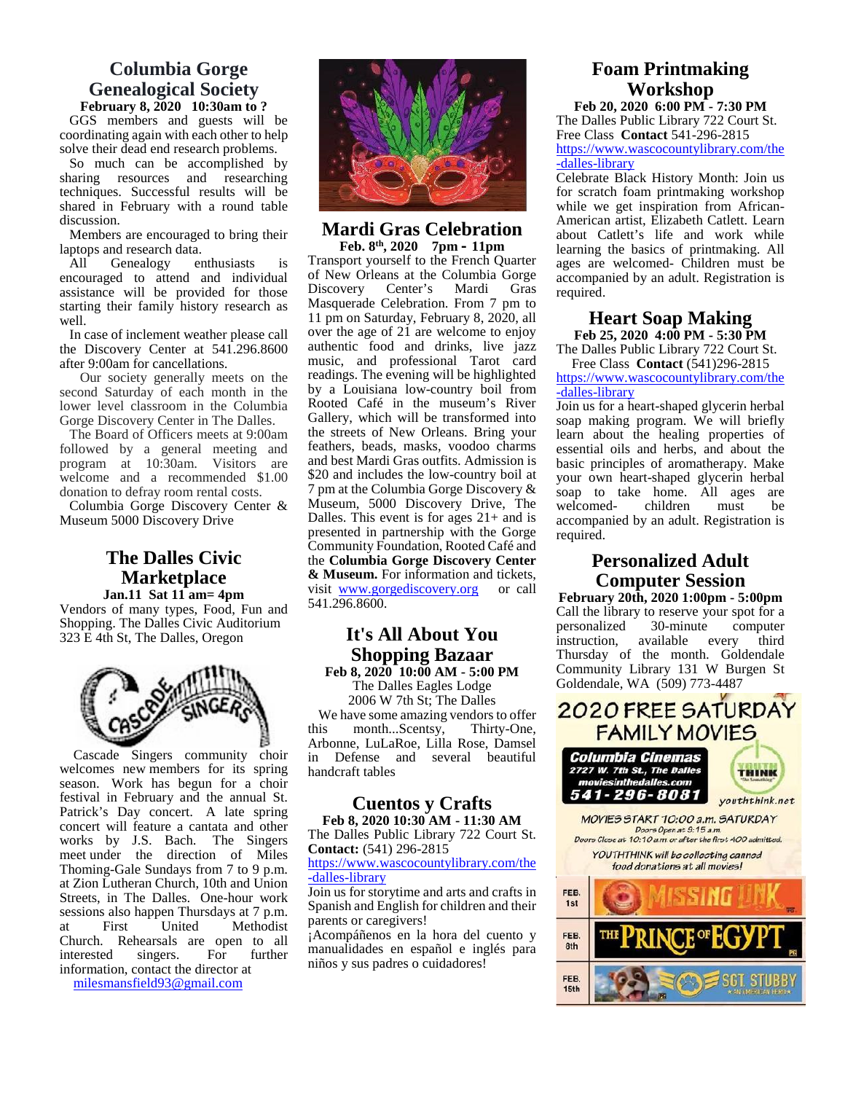#### **Columbia Gorge Genealogical Society February 8, 2020 10:30am to ?**

GGS members and guests will be coordinating again with each other to help solve their dead end research problems.

So much can be accomplished by sharing resources and researching techniques. Successful results will be shared in February with a round table discussion.

Members are encouraged to bring their laptops and research data.<br>All Genealogy enthusiasts

Genealogy enthusiasts is encouraged to attend and individual assistance will be provided for those starting their family history research as well.

In case of inclement weather please call the Discovery Center at 541.296.8600 after 9:00am for cancellations.

Our society generally meets on the second Saturday of each month in the lower level classroom in the Columbia Gorge Discovery Center in The Dalles.

The Board of Officers meets at 9:00am followed by a general meeting and program at 10:30am. Visitors are welcome and a recommended \$1.00 donation to defray room rental costs.

Columbia Gorge Discovery Center & Museum 5000 Discovery Drive

#### **The Dalles Civic Marketplace Jan.11 Sat 11 am= 4pm**

Vendors of many types, Food, Fun and Shopping. The Dalles Civic Auditorium 323 E 4th St, The Dalles, Oregon



Cascade Singers community choir in welcomes new members for its spring season. Work has begun for a choir festival in February and the annual St. Patrick's Day concert. A late spring concert will feature a cantata and other works by J.S. Bach. The Singers meet under the direction of Miles Thoming-Gale Sundays from 7 to 9 p.m. at Zion Lutheran Church, 10th and Union Streets, in The Dalles. One-hour work sessions also happen Thursdays at 7 p.m.<br>at First United Methodist **Methodist** Church. Rehearsals are open to all<br>interested singers. For further interested information, contact the director at

milesmansfield93@gmail.com



#### **Mardi Gras Celebration Feb. 8th, 2020 7pm – 11pm**

Transport yourself to the French Quarter of New Orleans at the Columbia Gorge<br>Discovery Center's Mardi Gras Discovery Center's Masquerade Celebration. From 7 pm to 11 pm on Saturday, February 8, 2020, all over the age of 21 are welcome to enjoy authentic food and drinks, live jazz music, and professional Tarot card readings. The evening will be highlighted by a Louisiana low-country boil from Rooted Café in the museum's River Gallery, which will be transformed into the streets of New Orleans. Bring your feathers, beads, masks, voodoo charms and best Mardi Gras outfits. Admission is \$20 and includes the low-country boil at 7 pm at the Columbia Gorge Discovery & Museum, 5000 Discovery Drive, The Dalles. This event is for ages 21+ and is presented in partnership with the Gorge Community Foundation, Rooted Café and the **Columbia Gorge Discovery Center & Museum.** For information and tickets, visit www.gorgediscovery.org or call 541.296.8600.

#### **It's All About You Shopping Bazaar Feb 8, 2020 10:00 AM - 5:00 PM**

The Dalles Eagles Lodge 2006 W 7th St; The Dalles 2006 W /th St; The Dalles<br>We have some amazing vendors to offer 2020 FREE SATURDAY this month...Scentsy, Thirty-One, Arbonne, LuLaRoe, Lilla Rose, Damsel Defense and several beautiful handcraft tables

## **Cuentos y Crafts**

The Dalles Public Library 722 Court St. **Contact:** (541) 296-2815

https://www.wascocountylibrary.com/the -dalles-library

Join us for storytime and arts and crafts in Spanish and English for children and their parents or caregivers!

¡Acompáñenos en la hora del cuento y manualidades en español e inglés para niños y sus padres o cuidadores!

#### **Foam Printmaking Workshop Feb 20, 2020 6:00 PM - 7:30 PM**

The Dalles Public Library 722 Court St. Free Class **Contact** 541-296-2815 https://www.wascocountylibrary.com/the -dalles-library

Celebrate Black History Month: Join us for scratch foam printmaking workshop while we get inspiration from African- American artist, Elizabeth Catlett. Learn about Catlett's life and work while learning the basics of printmaking. All ages are welcomed- Children must be accompanied by an adult. Registration is required.

#### **Heart Soap Making Feb 25, 2020 4:00 PM - 5:30 PM**

The Dalles Public Library 722 Court St. Free Class **Contact** (541)296-2815

https://www.wascocountylibrary.com/the -dalles-library

Join us for a heart-shaped glycerin herbal soap making program. We will briefly learn about the healing properties of essential oils and herbs, and about the basic principles of aromatherapy. Make your own heart-shaped glycerin herbal soap to take home. All ages are welcomed- children must be accompanied by an adult. Registration is required.

## **Personalized Adult Computer Session**

**February 20th, 2020 1:00pm - 5:00pm** Call the library to reserve your spot for a personalized 30-minute computer available every third Thursday of the month. Goldendale Community Library 131 W Burgen St Goldendale, WA (509) 773-4487



Columbia Cinemas 2727 W. 7th St., The Dalles<br>moviesinthedalles.com 541-296-8081



youththink.net

**Feb 8, 2020 10:30 AM - 11:30 AM** Doors Openat 9:15 a.m. Doors Close at 10:10 a.m. or after the first 400 admitted.

YOUTHTHINK will be collecting canned food donations at all movies!

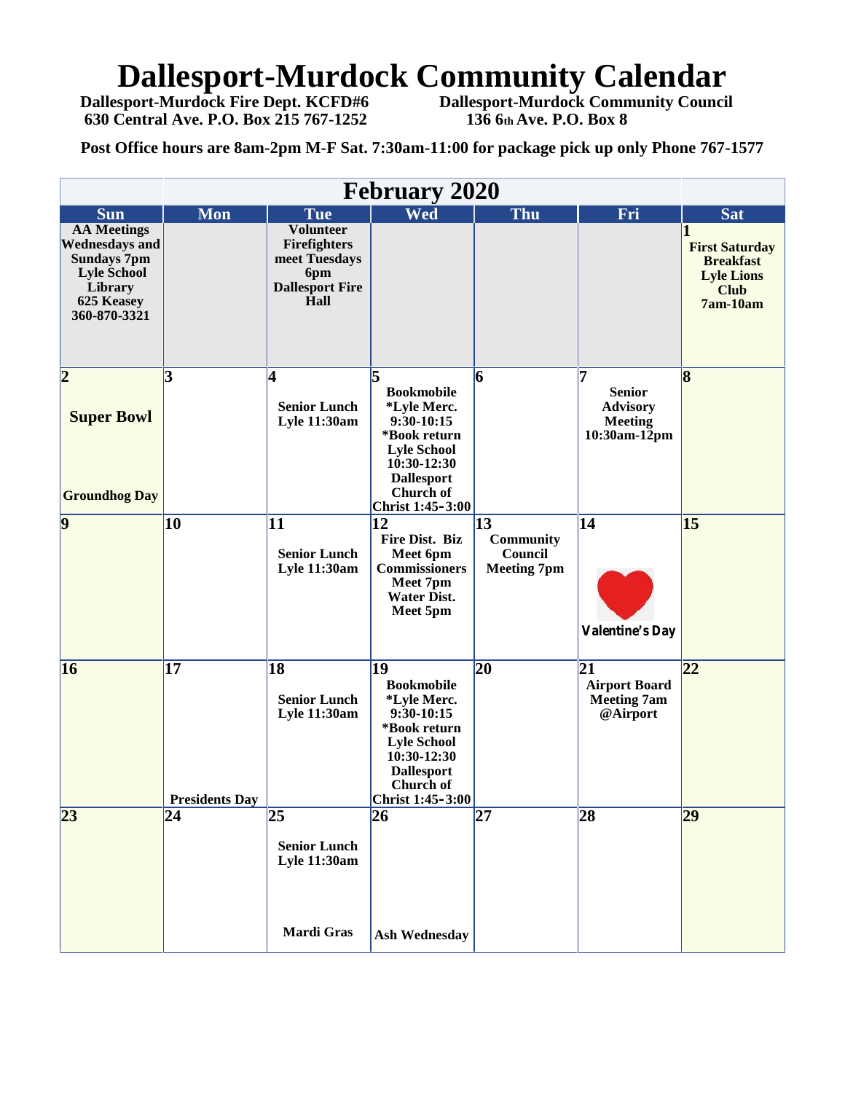# **Dallesport-Murdock Community Calendar**

**630 Central Ave. P.O. Box 215 767-1252 136 6th Ave. P.O. Box 8** 

**Dallesport-Murdock Fire Dept. KCFD#6 Dallesport-Murdock Community Council**

**Post Office hours are 8am-2pm M-F Sat. 7:30am-11:00 for package pick up only Phone 767-1577**

| <b>February 2020</b>                                                                                                             |                             |                                                                                            |                                                                                                                                                                 |                                                         |                                                                                 |                                                                                           |
|----------------------------------------------------------------------------------------------------------------------------------|-----------------------------|--------------------------------------------------------------------------------------------|-----------------------------------------------------------------------------------------------------------------------------------------------------------------|---------------------------------------------------------|---------------------------------------------------------------------------------|-------------------------------------------------------------------------------------------|
| <b>Sun</b>                                                                                                                       | <b>Mon</b>                  | <b>Tue</b>                                                                                 | Wed                                                                                                                                                             | <b>Thu</b>                                              | Fri                                                                             | <b>Sat</b>                                                                                |
| <b>AA Meetings</b><br><b>Wednesdays and</b><br><b>Sundays 7pm</b><br><b>Lyle School</b><br>Library<br>625 Keasey<br>360-870-3321 |                             | <b>Volunteer</b><br>Firefighters<br>meet Tuesdays<br>6pm<br><b>Dallesport Fire</b><br>Hall |                                                                                                                                                                 |                                                         |                                                                                 | <b>First Saturday</b><br><b>Breakfast</b><br><b>Lyle Lions</b><br><b>Club</b><br>7am-10am |
| $\overline{\mathbf{2}}$<br><b>Super Bowl</b><br><b>Groundhog Day</b>                                                             | 3                           | 4<br><b>Senior Lunch</b><br>Lyle 11:30am                                                   | l5<br><b>Bookmobile</b><br>*Lyle Merc.<br>9:30-10:15<br>*Book return<br><b>Lyle School</b><br>10:30-12:30<br><b>Dallesport</b><br>Church of<br>Christ 1:45-3:00 | 6                                                       | 17<br><b>Senior</b><br><b>Advisory</b><br><b>Meeting</b><br>$10:30$ am- $12$ pm | $\overline{8}$                                                                            |
| $\overline{9}$                                                                                                                   | 10                          | 11<br><b>Senior Lunch</b><br>Lyle 11:30am                                                  | 12<br>Fire Dist. Biz<br>Meet 6pm<br><b>Commissioners</b><br>Meet 7pm<br><b>Water Dist.</b><br>Meet 5pm                                                          | 13<br><b>Community</b><br>Council<br><b>Meeting 7pm</b> | 14<br><b>Valentine's Day</b>                                                    | 15                                                                                        |
| 16                                                                                                                               | 17<br><b>Presidents Day</b> | 18<br><b>Senior Lunch</b><br><b>Lyle 11:30am</b>                                           | 19<br><b>Bookmobile</b><br>*Lyle Merc.<br>9:30-10:15<br>*Book return<br><b>Lyle School</b><br>10:30-12:30<br><b>Dallesport</b><br>Church of<br>Christ 1:45-3:00 | 20                                                      | $\overline{21}$<br><b>Airport Board</b><br><b>Meeting 7am</b><br>@Airport       | 22                                                                                        |
| $\overline{23}$                                                                                                                  | 24                          | $\overline{25}$<br><b>Senior Lunch</b><br>Lyle 11:30am                                     | 26                                                                                                                                                              | $\overline{27}$                                         | 28                                                                              | $\overline{29}$                                                                           |
|                                                                                                                                  |                             | Mardi Gras                                                                                 | <b>Ash Wednesday</b>                                                                                                                                            |                                                         |                                                                                 |                                                                                           |